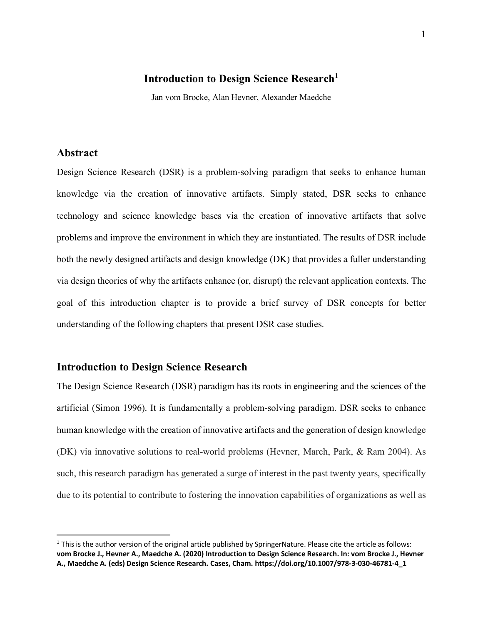# **Introduction to Design Science Research**<sup>1</sup>

Jan vom Brocke, Alan Hevner, Alexander Maedche

# **Abstract**

Design Science Research (DSR) is a problem-solving paradigm that seeks to enhance human knowledge via the creation of innovative artifacts. Simply stated, DSR seeks to enhance technology and science knowledge bases via the creation of innovative artifacts that solve problems and improve the environment in which they are instantiated. The results of DSR include both the newly designed artifacts and design knowledge (DK) that provides a fuller understanding via design theories of why the artifacts enhance (or, disrupt) the relevant application contexts. The goal of this introduction chapter is to provide a brief survey of DSR concepts for better understanding of the following chapters that present DSR case studies.

#### **Introduction to Design Science Research**

The Design Science Research (DSR) paradigm has its roots in engineering and the sciences of the artificial (Simon 1996). It is fundamentally a problem-solving paradigm. DSR seeks to enhance human knowledge with the creation of innovative artifacts and the generation of design knowledge (DK) via innovative solutions to real-world problems (Hevner, March, Park, & Ram 2004). As such, this research paradigm has generated a surge of interest in the past twenty years, specifically due to its potential to contribute to fostering the innovation capabilities of organizations as well as

 $1$  This is the author version of the original article published by SpringerNature. Please cite the article as follows: **vom Brocke J., Hevner A., Maedche A. (2020) Introduction to Design Science Research. In: vom Brocke J., Hevner A., Maedche A. (eds) Design Science Research. Cases, Cham. https://doi.org/10.1007/978-3-030-46781-4\_1**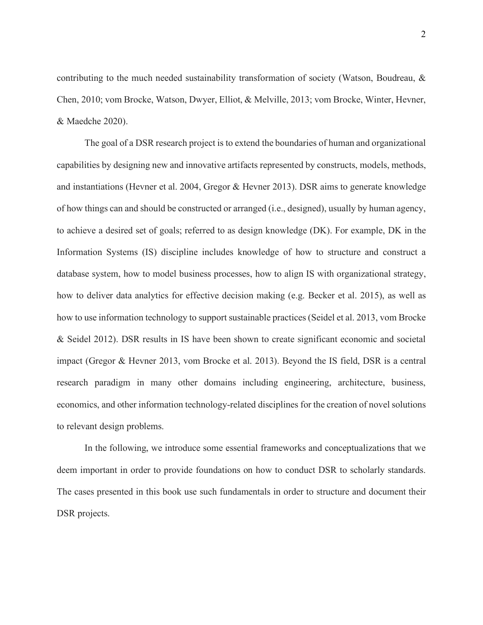contributing to the much needed sustainability transformation of society (Watson, Boudreau, & Chen, 2010; vom Brocke, Watson, Dwyer, Elliot, & Melville, 2013; vom Brocke, Winter, Hevner, & Maedche 2020).

The goal of a DSR research project is to extend the boundaries of human and organizational capabilities by designing new and innovative artifacts represented by constructs, models, methods, and instantiations (Hevner et al. 2004, Gregor & Hevner 2013). DSR aims to generate knowledge of how things can and should be constructed or arranged (i.e., designed), usually by human agency, to achieve a desired set of goals; referred to as design knowledge (DK). For example, DK in the Information Systems (IS) discipline includes knowledge of how to structure and construct a database system, how to model business processes, how to align IS with organizational strategy, how to deliver data analytics for effective decision making (e.g. Becker et al. 2015), as well as how to use information technology to support sustainable practices (Seidel et al. 2013, vom Brocke & Seidel 2012). DSR results in IS have been shown to create significant economic and societal impact (Gregor & Hevner 2013, vom Brocke et al. 2013). Beyond the IS field, DSR is a central research paradigm in many other domains including engineering, architecture, business, economics, and other information technology-related disciplines for the creation of novel solutions to relevant design problems.

In the following, we introduce some essential frameworks and conceptualizations that we deem important in order to provide foundations on how to conduct DSR to scholarly standards. The cases presented in this book use such fundamentals in order to structure and document their DSR projects.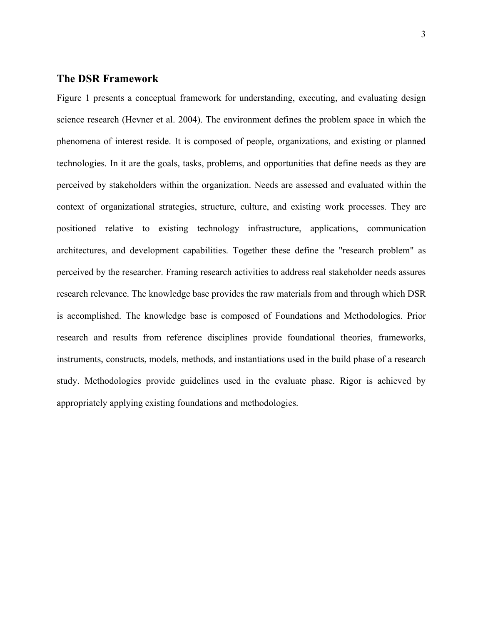# **The DSR Framework**

Figure 1 presents a conceptual framework for understanding, executing, and evaluating design science research (Hevner et al. 2004). The environment defines the problem space in which the phenomena of interest reside. It is composed of people, organizations, and existing or planned technologies. In it are the goals, tasks, problems, and opportunities that define needs as they are perceived by stakeholders within the organization. Needs are assessed and evaluated within the context of organizational strategies, structure, culture, and existing work processes. They are positioned relative to existing technology infrastructure, applications, communication architectures, and development capabilities. Together these define the "research problem" as perceived by the researcher. Framing research activities to address real stakeholder needs assures research relevance. The knowledge base provides the raw materials from and through which DSR is accomplished. The knowledge base is composed of Foundations and Methodologies. Prior research and results from reference disciplines provide foundational theories, frameworks, instruments, constructs, models, methods, and instantiations used in the build phase of a research study. Methodologies provide guidelines used in the evaluate phase. Rigor is achieved by appropriately applying existing foundations and methodologies.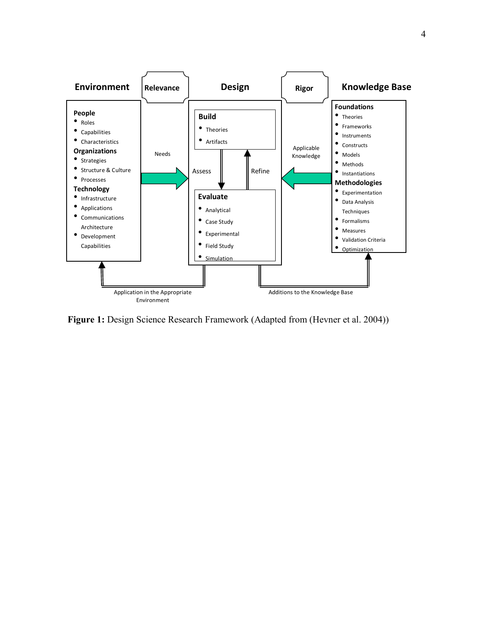

Figure 1: Design Science Research Framework (Adapted from (Hevner et al. 2004))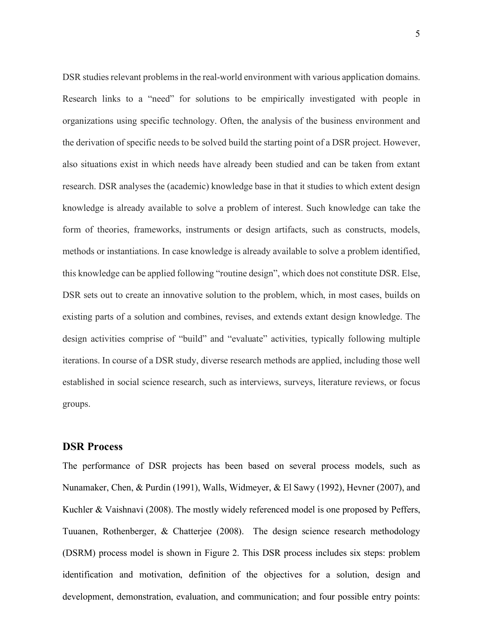DSR studies relevant problems in the real-world environment with various application domains. Research links to a "need" for solutions to be empirically investigated with people in organizations using specific technology. Often, the analysis of the business environment and the derivation of specific needs to be solved build the starting point of a DSR project. However, also situations exist in which needs have already been studied and can be taken from extant research. DSR analyses the (academic) knowledge base in that it studies to which extent design knowledge is already available to solve a problem of interest. Such knowledge can take the form of theories, frameworks, instruments or design artifacts, such as constructs, models, methods or instantiations. In case knowledge is already available to solve a problem identified, this knowledge can be applied following "routine design", which does not constitute DSR. Else, DSR sets out to create an innovative solution to the problem, which, in most cases, builds on existing parts of a solution and combines, revises, and extends extant design knowledge. The design activities comprise of "build" and "evaluate" activities, typically following multiple iterations. In course of a DSR study, diverse research methods are applied, including those well established in social science research, such as interviews, surveys, literature reviews, or focus groups.

#### **DSR Process**

The performance of DSR projects has been based on several process models, such as Nunamaker, Chen, & Purdin (1991), Walls, Widmeyer, & El Sawy (1992), Hevner (2007), and Kuchler & Vaishnavi (2008). The mostly widely referenced model is one proposed by Peffers, Tuuanen, Rothenberger, & Chatterjee (2008). The design science research methodology (DSRM) process model is shown in Figure 2. This DSR process includes six steps: problem identification and motivation, definition of the objectives for a solution, design and development, demonstration, evaluation, and communication; and four possible entry points: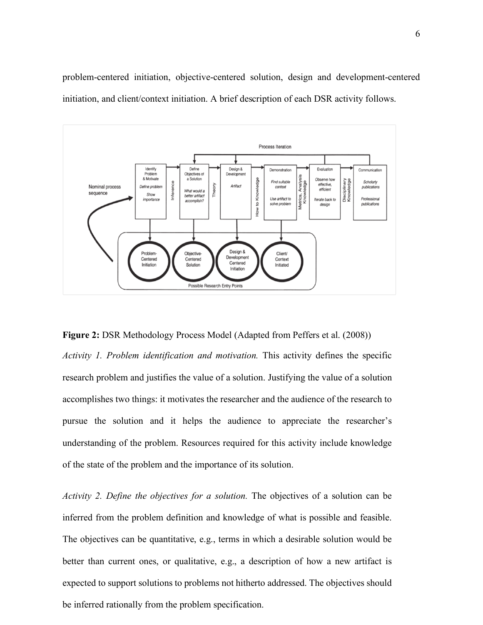problem-centered initiation, objective-centered solution, design and development-centered initiation, and client/context initiation. A brief description of each DSR activity follows.



**Figure 2:** DSR Methodology Process Model (Adapted from Peffers et al. (2008)) *Activity 1. Problem identification and motivation.* This activity defines the specific research problem and justifies the value of a solution. Justifying the value of a solution accomplishes two things: it motivates the researcher and the audience of the research to pursue the solution and it helps the audience to appreciate the researcher's understanding of the problem. Resources required for this activity include knowledge of the state of the problem and the importance of its solution.

*Activity 2. Define the objectives for a solution.* The objectives of a solution can be inferred from the problem definition and knowledge of what is possible and feasible. The objectives can be quantitative, e.g., terms in which a desirable solution would be better than current ones, or qualitative, e.g., a description of how a new artifact is expected to support solutions to problems not hitherto addressed. The objectives should be inferred rationally from the problem specification.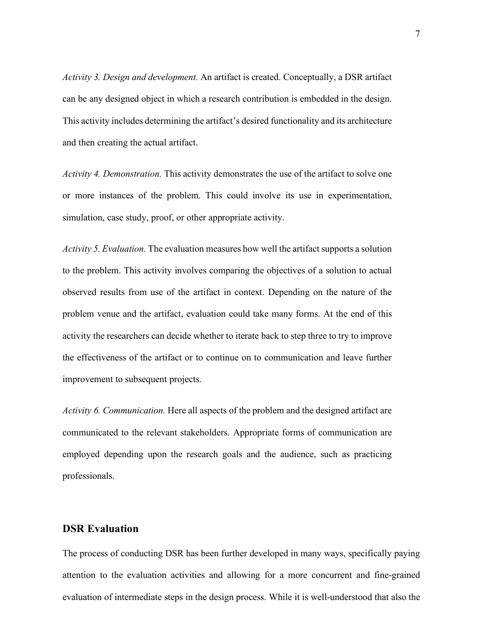*Activity 3. Design and development.* An artifact is created. Conceptually, a DSR artifact can be any designed object in which a research contribution is embedded in the design. This activity includes determining the artifact's desired functionality and its architecture and then creating the actual artifact.

*Activity 4. Demonstration.* This activity demonstrates the use of the artifact to solve one or more instances of the problem. This could involve its use in experimentation, simulation, case study, proof, or other appropriate activity.

*Activity 5. Evaluation.* The evaluation measures how well the artifact supports a solution to the problem. This activity involves comparing the objectives of a solution to actual observed results from use of the artifact in context. Depending on the nature of the problem venue and the artifact, evaluation could take many forms. At the end of this activity the researchers can decide whether to iterate back to step three to try to improve the effectiveness of the artifact or to continue on to communication and leave further improvement to subsequent projects.

*Activity 6. Communication.* Here all aspects of the problem and the designed artifact are communicated to the relevant stakeholders. Appropriate forms of communication are employed depending upon the research goals and the audience, such as practicing professionals.

## **DSR Evaluation**

The process of conducting DSR has been further developed in many ways, specifically paying attention to the evaluation activities and allowing for a more concurrent and fine-grained evaluation of intermediate steps in the design process. While it is well-understood that also the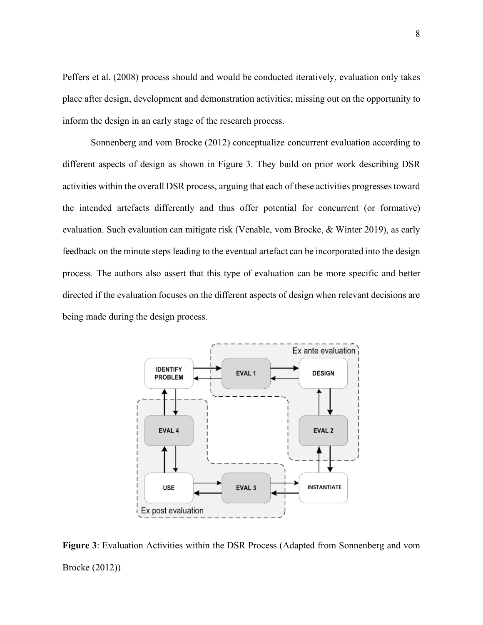Peffers et al. (2008) process should and would be conducted iteratively, evaluation only takes place after design, development and demonstration activities; missing out on the opportunity to inform the design in an early stage of the research process.

Sonnenberg and vom Brocke (2012) conceptualize concurrent evaluation according to different aspects of design as shown in Figure 3. They build on prior work describing DSR activities within the overall DSR process, arguing that each of these activities progressestoward the intended artefacts differently and thus offer potential for concurrent (or formative) evaluation. Such evaluation can mitigate risk (Venable, vom Brocke, & Winter 2019), as early feedback on the minute steps leading to the eventual artefact can be incorporated into the design process. The authors also assert that this type of evaluation can be more specific and better directed if the evaluation focuses on the different aspects of design when relevant decisions are being made during the design process.



**Figure 3**: Evaluation Activities within the DSR Process (Adapted from Sonnenberg and vom Brocke (2012))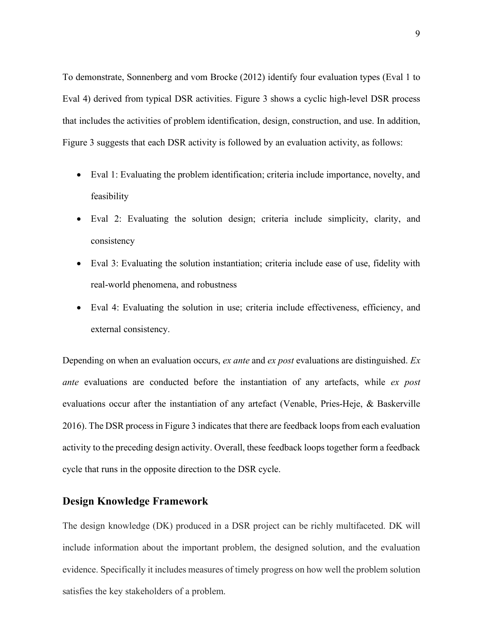To demonstrate, Sonnenberg and vom Brocke (2012) identify four evaluation types (Eval 1 to Eval 4) derived from typical DSR activities. Figure 3 shows a cyclic high-level DSR process that includes the activities of problem identification, design, construction, and use. In addition, Figure 3 suggests that each DSR activity is followed by an evaluation activity, as follows:

- Eval 1: Evaluating the problem identification; criteria include importance, novelty, and feasibility
- Eval 2: Evaluating the solution design; criteria include simplicity, clarity, and consistency
- Eval 3: Evaluating the solution instantiation; criteria include ease of use, fidelity with real-world phenomena, and robustness
- Eval 4: Evaluating the solution in use; criteria include effectiveness, efficiency, and external consistency.

Depending on when an evaluation occurs, *ex ante* and *ex post* evaluations are distinguished. *Ex ante* evaluations are conducted before the instantiation of any artefacts, while *ex post* evaluations occur after the instantiation of any artefact (Venable, Pries-Heje, & Baskerville 2016). The DSR process in Figure 3 indicates that there are feedback loops from each evaluation activity to the preceding design activity. Overall, these feedback loops together form a feedback cycle that runs in the opposite direction to the DSR cycle.

#### **Design Knowledge Framework**

The design knowledge (DK) produced in a DSR project can be richly multifaceted. DK will include information about the important problem, the designed solution, and the evaluation evidence. Specifically it includes measures of timely progress on how well the problem solution satisfies the key stakeholders of a problem.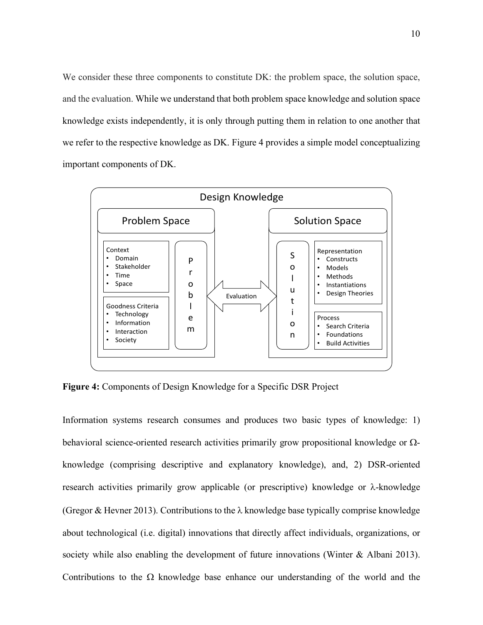We consider these three components to constitute DK: the problem space, the solution space, and the evaluation. While we understand that both problem space knowledge and solution space knowledge exists independently, it is only through putting them in relation to one another that we refer to the respective knowledge as DK. Figure 4 provides a simple model conceptualizing important components of DK.



**Figure 4:** Components of Design Knowledge for a Specific DSR Project

Information systems research consumes and produces two basic types of knowledge: 1) behavioral science-oriented research activities primarily grow propositional knowledge or  $\Omega$ knowledge (comprising descriptive and explanatory knowledge), and, 2) DSR-oriented research activities primarily grow applicable (or prescriptive) knowledge or  $\lambda$ -knowledge (Gregor & Hevner 2013). Contributions to the  $\lambda$  knowledge base typically comprise knowledge about technological (i.e. digital) innovations that directly affect individuals, organizations, or society while also enabling the development of future innovations (Winter & Albani 2013). Contributions to the  $\Omega$  knowledge base enhance our understanding of the world and the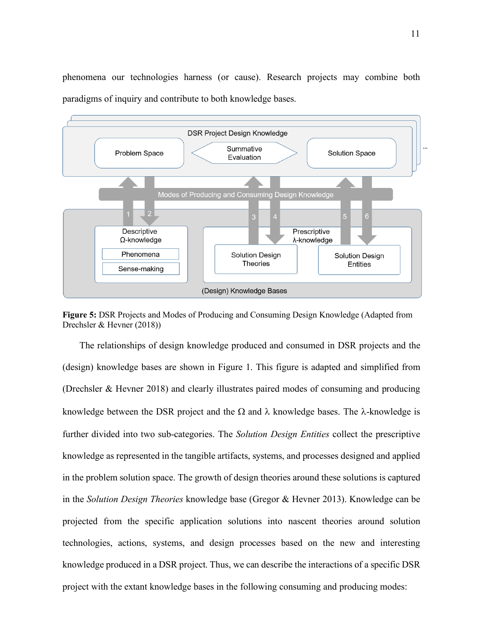phenomena our technologies harness (or cause). Research projects may combine both paradigms of inquiry and contribute to both knowledge bases.



**Figure 5:** DSR Projects and Modes of Producing and Consuming Design Knowledge (Adapted from Drechsler & Hevner (2018))

The relationships of design knowledge produced and consumed in DSR projects and the (design) knowledge bases are shown in Figure 1. This figure is adapted and simplified from (Drechsler & Hevner 2018) and clearly illustrates paired modes of consuming and producing knowledge between the DSR project and the  $\Omega$  and  $\lambda$  knowledge bases. The  $\lambda$ -knowledge is further divided into two sub-categories. The *Solution Design Entities* collect the prescriptive knowledge as represented in the tangible artifacts, systems, and processes designed and applied in the problem solution space. The growth of design theories around these solutions is captured in the *Solution Design Theories* knowledge base (Gregor & Hevner 2013). Knowledge can be projected from the specific application solutions into nascent theories around solution technologies, actions, systems, and design processes based on the new and interesting knowledge produced in a DSR project. Thus, we can describe the interactions of a specific DSR project with the extant knowledge bases in the following consuming and producing modes: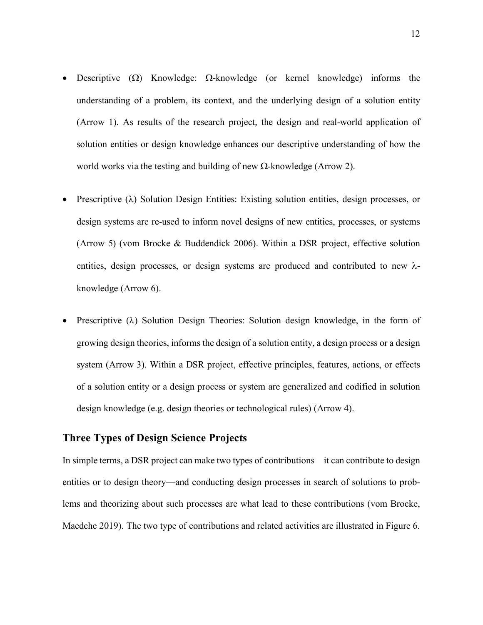- Descriptive  $(\Omega)$  Knowledge:  $\Omega$ -knowledge (or kernel knowledge) informs the understanding of a problem, its context, and the underlying design of a solution entity (Arrow 1). As results of the research project, the design and real-world application of solution entities or design knowledge enhances our descriptive understanding of how the world works via the testing and building of new  $\Omega$ -knowledge (Arrow 2).
- Prescriptive  $(\lambda)$  Solution Design Entities: Existing solution entities, design processes, or design systems are re-used to inform novel designs of new entities, processes, or systems (Arrow 5) (vom Brocke & Buddendick 2006). Within a DSR project, effective solution entities, design processes, or design systems are produced and contributed to new  $\lambda$ knowledge (Arrow 6).
- Prescriptive  $(\lambda)$  Solution Design Theories: Solution design knowledge, in the form of growing design theories, informs the design of a solution entity, a design process or a design system (Arrow 3). Within a DSR project, effective principles, features, actions, or effects of a solution entity or a design process or system are generalized and codified in solution design knowledge (e.g. design theories or technological rules) (Arrow 4).

## **Three Types of Design Science Projects**

In simple terms, a DSR project can make two types of contributions—it can contribute to design entities or to design theory—and conducting design processes in search of solutions to problems and theorizing about such processes are what lead to these contributions (vom Brocke, Maedche 2019). The two type of contributions and related activities are illustrated in Figure 6.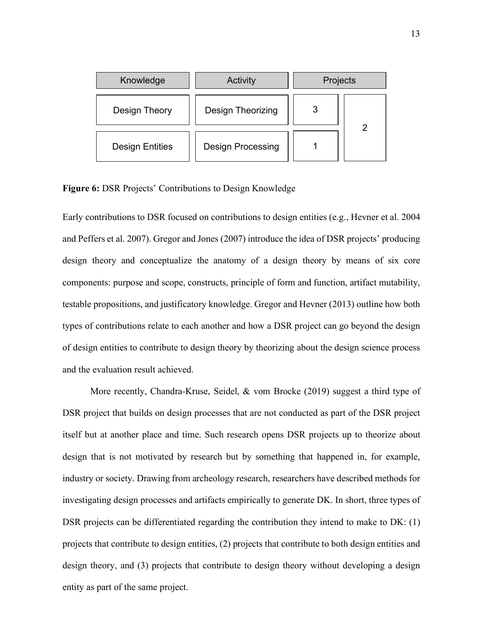| Knowledge              | Activity                 | Projects |  |
|------------------------|--------------------------|----------|--|
| Design Theory          | Design Theorizing        |          |  |
| <b>Design Entities</b> | <b>Design Processing</b> |          |  |

**Figure 6:** DSR Projects' Contributions to Design Knowledge

Early contributions to DSR focused on contributions to design entities (e.g., Hevner et al. 2004 and Peffers et al. 2007). Gregor and Jones (2007) introduce the idea of DSR projects' producing design theory and conceptualize the anatomy of a design theory by means of six core components: purpose and scope, constructs, principle of form and function, artifact mutability, testable propositions, and justificatory knowledge. Gregor and Hevner (2013) outline how both types of contributions relate to each another and how a DSR project can go beyond the design of design entities to contribute to design theory by theorizing about the design science process and the evaluation result achieved.

More recently, Chandra-Kruse, Seidel, & vom Brocke (2019) suggest a third type of DSR project that builds on design processes that are not conducted as part of the DSR project itself but at another place and time. Such research opens DSR projects up to theorize about design that is not motivated by research but by something that happened in, for example, industry or society. Drawing from archeology research, researchers have described methods for investigating design processes and artifacts empirically to generate DK. In short, three types of DSR projects can be differentiated regarding the contribution they intend to make to DK: (1) projects that contribute to design entities, (2) projects that contribute to both design entities and design theory, and (3) projects that contribute to design theory without developing a design entity as part of the same project.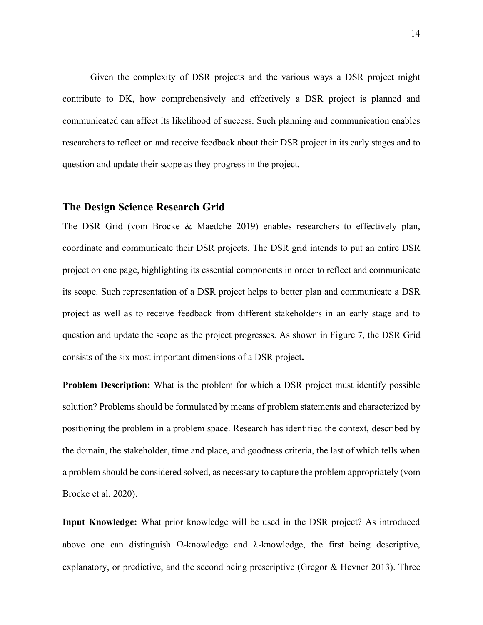Given the complexity of DSR projects and the various ways a DSR project might contribute to DK, how comprehensively and effectively a DSR project is planned and communicated can affect its likelihood of success. Such planning and communication enables researchers to reflect on and receive feedback about their DSR project in its early stages and to question and update their scope as they progress in the project.

## **The Design Science Research Grid**

The DSR Grid (vom Brocke & Maedche 2019) enables researchers to effectively plan, coordinate and communicate their DSR projects. The DSR grid intends to put an entire DSR project on one page, highlighting its essential components in order to reflect and communicate its scope. Such representation of a DSR project helps to better plan and communicate a DSR project as well as to receive feedback from different stakeholders in an early stage and to question and update the scope as the project progresses. As shown in Figure 7, the DSR Grid consists of the six most important dimensions of a DSR project**.** 

**Problem Description:** What is the problem for which a DSR project must identify possible solution? Problems should be formulated by means of problem statements and characterized by positioning the problem in a problem space. Research has identified the context, described by the domain, the stakeholder, time and place, and goodness criteria, the last of which tells when a problem should be considered solved, as necessary to capture the problem appropriately (vom Brocke et al. 2020).

**Input Knowledge:** What prior knowledge will be used in the DSR project? As introduced above one can distinguish  $\Omega$ -knowledge and  $\lambda$ -knowledge, the first being descriptive, explanatory, or predictive, and the second being prescriptive (Gregor & Hevner 2013). Three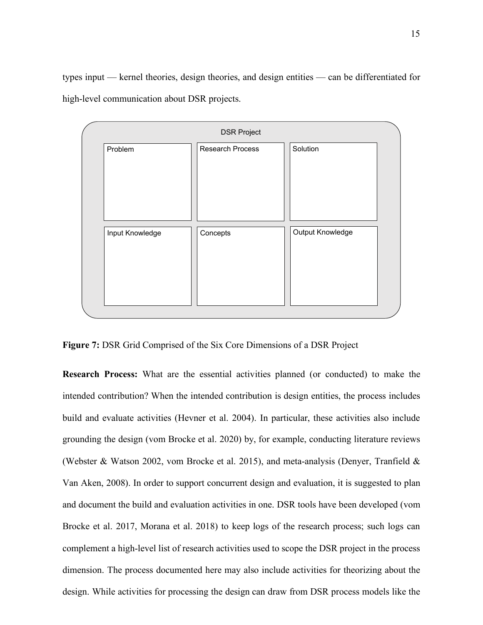types input — kernel theories, design theories, and design entities — can be differentiated for high-level communication about DSR projects.



**Figure 7:** DSR Grid Comprised of the Six Core Dimensions of a DSR Project

**Research Process:** What are the essential activities planned (or conducted) to make the intended contribution? When the intended contribution is design entities, the process includes build and evaluate activities (Hevner et al. 2004). In particular, these activities also include grounding the design (vom Brocke et al. 2020) by, for example, conducting literature reviews (Webster & Watson 2002, vom Brocke et al. 2015), and meta-analysis (Denyer, Tranfield & Van Aken, 2008). In order to support concurrent design and evaluation, it is suggested to plan and document the build and evaluation activities in one. DSR tools have been developed (vom Brocke et al. 2017, Morana et al. 2018) to keep logs of the research process; such logs can complement a high-level list of research activities used to scope the DSR project in the process dimension. The process documented here may also include activities for theorizing about the design. While activities for processing the design can draw from DSR process models like the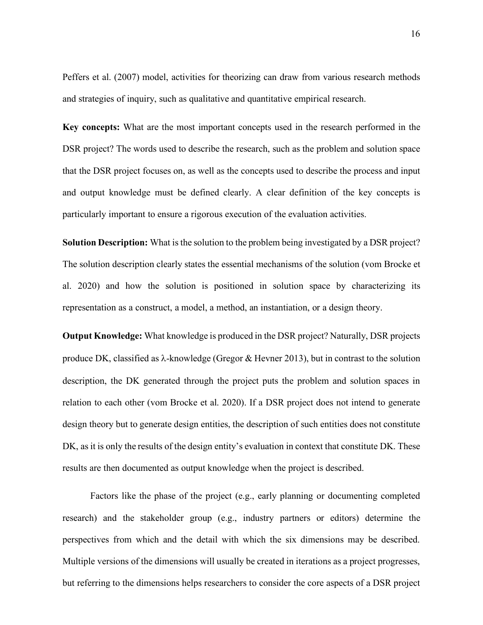Peffers et al. (2007) model, activities for theorizing can draw from various research methods and strategies of inquiry, such as qualitative and quantitative empirical research.

**Key concepts:** What are the most important concepts used in the research performed in the DSR project? The words used to describe the research, such as the problem and solution space that the DSR project focuses on, as well as the concepts used to describe the process and input and output knowledge must be defined clearly. A clear definition of the key concepts is particularly important to ensure a rigorous execution of the evaluation activities.

**Solution Description:** What is the solution to the problem being investigated by a DSR project? The solution description clearly states the essential mechanisms of the solution (vom Brocke et al. 2020) and how the solution is positioned in solution space by characterizing its representation as a construct, a model, a method, an instantiation, or a design theory.

**Output Knowledge:** What knowledge is produced in the DSR project? Naturally, DSR projects produce DK, classified as  $\lambda$ -knowledge (Gregor  $\&$  Hevner 2013), but in contrast to the solution description, the DK generated through the project puts the problem and solution spaces in relation to each other (vom Brocke et al. 2020). If a DSR project does not intend to generate design theory but to generate design entities, the description of such entities does not constitute DK, as it is only the results of the design entity's evaluation in context that constitute DK. These results are then documented as output knowledge when the project is described.

Factors like the phase of the project (e.g., early planning or documenting completed research) and the stakeholder group (e.g., industry partners or editors) determine the perspectives from which and the detail with which the six dimensions may be described. Multiple versions of the dimensions will usually be created in iterations as a project progresses, but referring to the dimensions helps researchers to consider the core aspects of a DSR project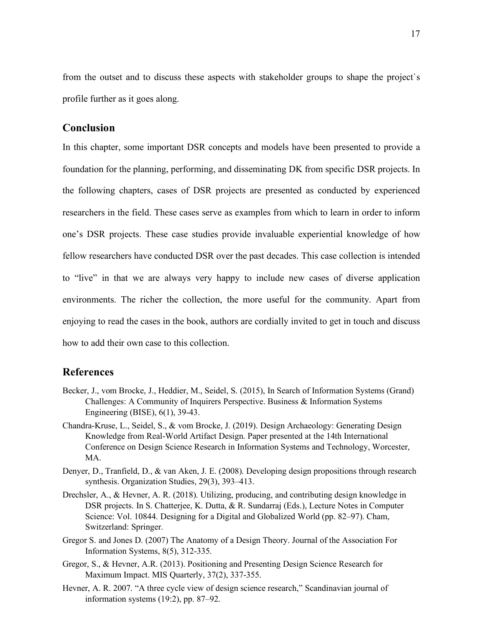from the outset and to discuss these aspects with stakeholder groups to shape the project`s profile further as it goes along.

# **Conclusion**

In this chapter, some important DSR concepts and models have been presented to provide a foundation for the planning, performing, and disseminating DK from specific DSR projects. In the following chapters, cases of DSR projects are presented as conducted by experienced researchers in the field. These cases serve as examples from which to learn in order to inform one's DSR projects. These case studies provide invaluable experiential knowledge of how fellow researchers have conducted DSR over the past decades. This case collection is intended to "live" in that we are always very happy to include new cases of diverse application environments. The richer the collection, the more useful for the community. Apart from enjoying to read the cases in the book, authors are cordially invited to get in touch and discuss how to add their own case to this collection.

### **References**

- Becker, J., vom Brocke, J., Heddier, M., Seidel, S. (2015), In Search of Information Systems (Grand) Challenges: A Community of Inquirers Perspective. Business & Information Systems Engineering (BISE), 6(1), 39-43.
- Chandra-Kruse, L., Seidel, S., & vom Brocke, J. (2019). Design Archaeology: Generating Design Knowledge from Real-World Artifact Design. Paper presented at the 14th International Conference on Design Science Research in Information Systems and Technology, Worcester, MA.
- Denyer, D., Tranfield, D., & van Aken, J. E. (2008). Developing design propositions through research synthesis. Organization Studies, 29(3), 393–413.
- Drechsler, A., & Hevner, A. R. (2018). Utilizing, producing, and contributing design knowledge in DSR projects. In S. Chatterjee, K. Dutta, & R. Sundarraj (Eds.), Lecture Notes in Computer Science: Vol. 10844. Designing for a Digital and Globalized World (pp. 82–97). Cham, Switzerland: Springer.
- Gregor S. and Jones D. (2007) The Anatomy of a Design Theory. Journal of the Association For Information Systems, 8(5), 312-335.
- Gregor, S., & Hevner, A.R. (2013). Positioning and Presenting Design Science Research for Maximum Impact. MIS Quarterly, 37(2), 337-355.
- Hevner, A. R. 2007. "A three cycle view of design science research," Scandinavian journal of information systems (19:2), pp. 87–92.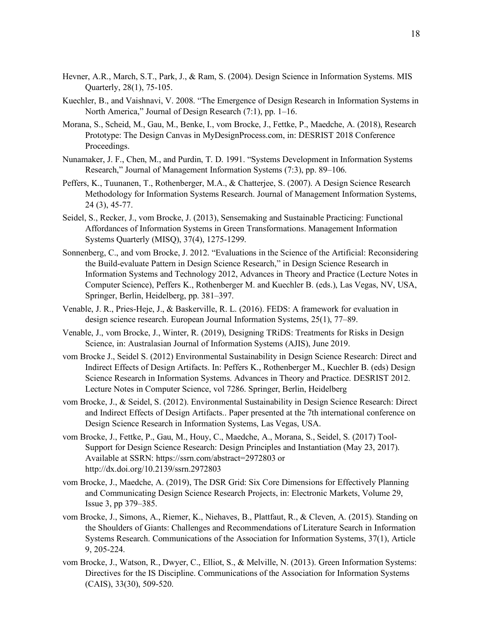- Hevner, A.R., March, S.T., Park, J., & Ram, S. (2004). Design Science in Information Systems. MIS Quarterly, 28(1), 75-105.
- Kuechler, B., and Vaishnavi, V. 2008. "The Emergence of Design Research in Information Systems in North America," Journal of Design Research (7:1), pp. 1–16.
- Morana, S., Scheid, M., Gau, M., Benke, I., vom Brocke, J., Fettke, P., Maedche, A. (2018), Research Prototype: The Design Canvas in MyDesignProcess.com, in: DESRIST 2018 Conference Proceedings.
- Nunamaker, J. F., Chen, M., and Purdin, T. D. 1991. "Systems Development in Information Systems Research," Journal of Management Information Systems (7:3), pp. 89–106.
- Peffers, K., Tuunanen, T., Rothenberger, M.A., & Chatterjee, S. (2007). A Design Science Research Methodology for Information Systems Research. Journal of Management Information Systems, 24 (3), 45-77.
- Seidel, S., Recker, J., vom Brocke, J. (2013), Sensemaking and Sustainable Practicing: Functional Affordances of Information Systems in Green Transformations. Management Information Systems Quarterly (MISQ), 37(4), 1275-1299.
- Sonnenberg, C., and vom Brocke, J. 2012. "Evaluations in the Science of the Artificial: Reconsidering the Build-evaluate Pattern in Design Science Research," in Design Science Research in Information Systems and Technology 2012, Advances in Theory and Practice (Lecture Notes in Computer Science), Peffers K., Rothenberger M. and Kuechler B. (eds.), Las Vegas, NV, USA, Springer, Berlin, Heidelberg, pp. 381–397.
- Venable, J. R., Pries-Heje, J., & Baskerville, R. L. (2016). FEDS: A framework for evaluation in design science research. European Journal Information Systems, 25(1), 77–89.
- Venable, J., vom Brocke, J., Winter, R. (2019), Designing TRiDS: Treatments for Risks in Design Science, in: Australasian Journal of Information Systems (AJIS), June 2019.
- vom Brocke J., Seidel S. (2012) Environmental Sustainability in Design Science Research: Direct and Indirect Effects of Design Artifacts. In: Peffers K., Rothenberger M., Kuechler B. (eds) Design Science Research in Information Systems. Advances in Theory and Practice. DESRIST 2012. Lecture Notes in Computer Science, vol 7286. Springer, Berlin, Heidelberg
- vom Brocke, J., & Seidel, S. (2012). Environmental Sustainability in Design Science Research: Direct and Indirect Effects of Design Artifacts.. Paper presented at the 7th international conference on Design Science Research in Information Systems, Las Vegas, USA.
- vom Brocke, J., Fettke, P., Gau, M., Houy, C., Maedche, A., Morana, S., Seidel, S. (2017) Tool-Support for Design Science Research: Design Principles and Instantiation (May 23, 2017). Available at SSRN: https://ssrn.com/abstract=2972803 or http://dx.doi.org/10.2139/ssrn.2972803
- vom Brocke, J., Maedche, A. (2019), The DSR Grid: Six Core Dimensions for Effectively Planning and Communicating Design Science Research Projects, in: Electronic Markets, Volume 29, Issue 3, pp 379–385.
- vom Brocke, J., Simons, A., Riemer, K., Niehaves, B., Plattfaut, R., & Cleven, A. (2015). Standing on the Shoulders of Giants: Challenges and Recommendations of Literature Search in Information Systems Research. Communications of the Association for Information Systems, 37(1), Article 9, 205-224.
- vom Brocke, J., Watson, R., Dwyer, C., Elliot, S., & Melville, N. (2013). Green Information Systems: Directives for the IS Discipline. Communications of the Association for Information Systems (CAIS), 33(30), 509-520.